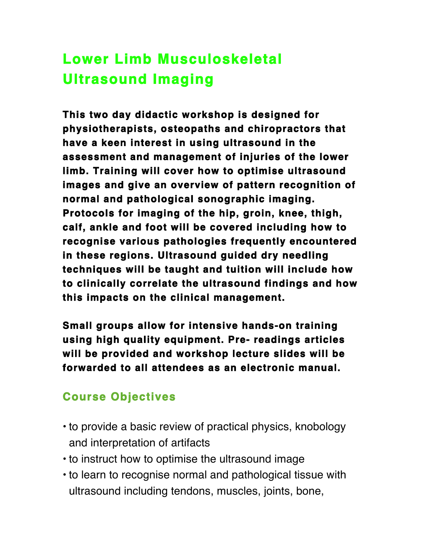## **Lower Limb Musculoskeletal Ultrasound Imaging**

**This two day didactic workshop is designed for physiotherapists, osteopaths and chiropractors that have a keen interest in using ultrasound in the assessment and management of injuries of the lower limb. Training will cover how to optimise ultrasound images and give an overview of pattern recognition of normal and pathological sonographic imaging. Protocols for imaging of the hip, groin, knee, thigh, calf, ankle and foot will be covered including how to recognise various pathologies frequently encountered in these regions. Ultrasound guided dry needling techniques will be taught and tuition will include how to clinically correlate the ultrasound findings and how this impacts on the clinical management.** 

**Small groups allow for intensive hands-on training using high quality equipment. Pre- readings articles will be provided and workshop lecture slides will be forwarded to all attendees as an electronic manual.** 

## **Course Objectives**

- to provide a basic review of practical physics, knobology and interpretation of artifacts
- to instruct how to optimise the ultrasound image
- to learn to recognise normal and pathological tissue with ultrasound including tendons, muscles, joints, bone,